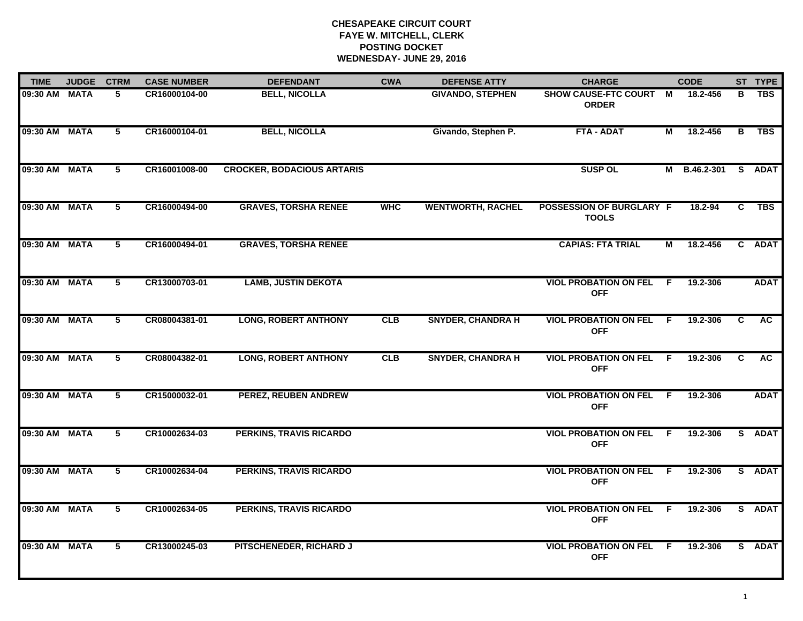# **CHESAPEAKE CIRCUIT COURT FAYE W. MITCHELL, CLERK POSTING DOCKET WEDNESDAY- JUNE 29, 2016**

| <b>TIME</b>   | <b>JUDGE</b> | <b>CTRM</b>    | <b>CASE NUMBER</b> | <b>DEFENDANT</b>                  | <b>CWA</b> | <b>DEFENSE ATTY</b>      | <b>CHARGE</b>                                   |     | <b>CODE</b>  |    | ST TYPE     |
|---------------|--------------|----------------|--------------------|-----------------------------------|------------|--------------------------|-------------------------------------------------|-----|--------------|----|-------------|
| 09:30 AM MATA |              | 5              | CR16000104-00      | <b>BELL, NICOLLA</b>              |            | <b>GIVANDO, STEPHEN</b>  | SHOW CAUSE-FTC COURT M<br><b>ORDER</b>          |     | 18.2-456     | в  | <b>TBS</b>  |
| 09:30 AM MATA |              | 5              | CR16000104-01      | <b>BELL, NICOLLA</b>              |            | Givando, Stephen P.      | <b>FTA - ADAT</b>                               | М   | 18.2-456     | B  | <b>TBS</b>  |
| 09:30 AM MATA |              | 5              | CR16001008-00      | <b>CROCKER, BODACIOUS ARTARIS</b> |            |                          | <b>SUSP OL</b>                                  |     | M B.46.2-301 |    | S ADAT      |
| 09:30 AM MATA |              | 5              | CR16000494-00      | <b>GRAVES, TORSHA RENEE</b>       | <b>WHC</b> | <b>WENTWORTH, RACHEL</b> | <b>POSSESSION OF BURGLARY F</b><br><b>TOOLS</b> |     | 18.2-94      | C  | <b>TBS</b>  |
| 09:30 AM MATA |              | $5^{\circ}$    | CR16000494-01      | <b>GRAVES, TORSHA RENEE</b>       |            |                          | <b>CAPIAS: FTA TRIAL</b>                        | М   | 18.2-456     |    | C ADAT      |
| 09:30 AM MATA |              | $\overline{5}$ | CR13000703-01      | <b>LAMB, JUSTIN DEKOTA</b>        |            |                          | <b>VIOL PROBATION ON FEL F</b><br><b>OFF</b>    |     | 19.2-306     |    | <b>ADAT</b> |
| 09:30 AM MATA |              | 5              | CR08004381-01      | <b>LONG, ROBERT ANTHONY</b>       | CLB        | <b>SNYDER, CHANDRA H</b> | <b>VIOL PROBATION ON FEL</b><br><b>OFF</b>      | - F | 19.2-306     | C  | <b>AC</b>   |
| 09:30 AM MATA |              | 5              | CR08004382-01      | <b>LONG, ROBERT ANTHONY</b>       | <b>CLB</b> | <b>SNYDER, CHANDRA H</b> | <b>VIOL PROBATION ON FEL</b><br><b>OFF</b>      | - F | 19.2-306     | C. | <b>AC</b>   |
| 09:30 AM MATA |              | 5              | CR15000032-01      | PEREZ, REUBEN ANDREW              |            |                          | <b>VIOL PROBATION ON FEL</b><br><b>OFF</b>      | - F | 19.2-306     |    | <b>ADAT</b> |
| 09:30 AM MATA |              | 5              | CR10002634-03      | <b>PERKINS, TRAVIS RICARDO</b>    |            |                          | <b>VIOL PROBATION ON FEL F</b><br><b>OFF</b>    |     | 19.2-306     |    | S ADAT      |
| 09:30 AM MATA |              | 5              | CR10002634-04      | <b>PERKINS, TRAVIS RICARDO</b>    |            |                          | <b>VIOL PROBATION ON FEL F</b><br><b>OFF</b>    |     | 19.2-306     |    | S ADAT      |
| 09:30 AM MATA |              | 5              | CR10002634-05      | <b>PERKINS, TRAVIS RICARDO</b>    |            |                          | <b>VIOL PROBATION ON FEL F</b><br><b>OFF</b>    |     | 19.2-306     |    | S ADAT      |
| 09:30 AM MATA |              | 5.             | CR13000245-03      | PITSCHENEDER, RICHARD J           |            |                          | <b>VIOL PROBATION ON FEL</b><br><b>OFF</b>      | - F | 19.2-306     |    | S ADAT      |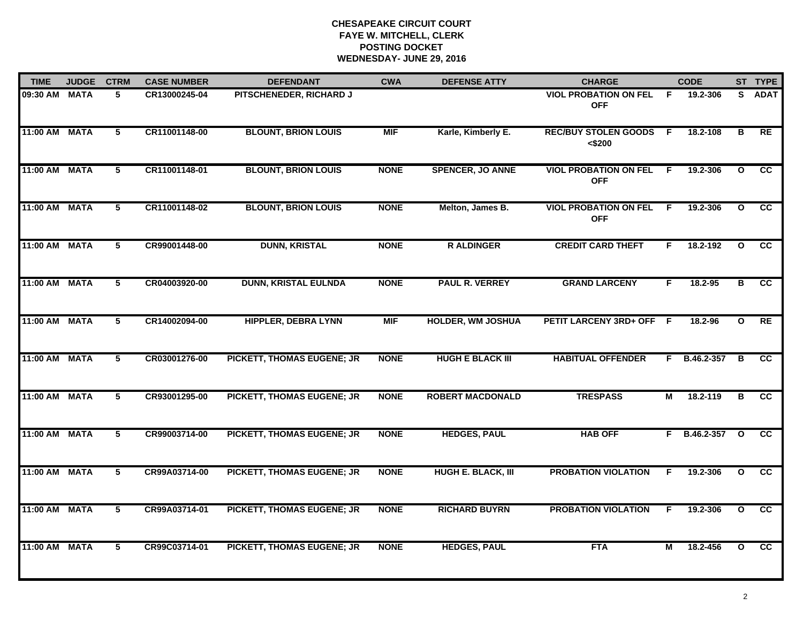# **CHESAPEAKE CIRCUIT COURT FAYE W. MITCHELL, CLERK POSTING DOCKETWEDNESDAY- JUNE 29, 2016**

| <b>TIME</b>   | <b>JUDGE</b> | <b>CTRM</b>    | <b>CASE NUMBER</b> | <b>DEFENDANT</b>                  | <b>CWA</b>  | <b>DEFENSE ATTY</b>      | <b>CHARGE</b>                              |                | <b>CODE</b>    |              | ST TYPE     |
|---------------|--------------|----------------|--------------------|-----------------------------------|-------------|--------------------------|--------------------------------------------|----------------|----------------|--------------|-------------|
| 09:30 AM      | <b>MATA</b>  | 5              | CR13000245-04      | PITSCHENEDER, RICHARD J           |             |                          | <b>VIOL PROBATION ON FEL</b><br><b>OFF</b> | F.             | 19.2-306       | S.           | <b>ADAT</b> |
| 11:00 AM      | <b>MATA</b>  | $\overline{5}$ | CR11001148-00      | <b>BLOUNT, BRION LOUIS</b>        | <b>MIF</b>  | Karle, Kimberly E.       | <b>REC/BUY STOLEN GOODS</b><br>$<$ \$200   | $\overline{F}$ | 18.2-108       | В            | RE          |
| 11:00 AM      | <b>MATA</b>  | 5              | CR11001148-01      | <b>BLOUNT, BRION LOUIS</b>        | <b>NONE</b> | <b>SPENCER, JO ANNE</b>  | <b>VIOL PROBATION ON FEL</b><br><b>OFF</b> | -F             | 19.2-306       | $\mathbf{o}$ | <b>CC</b>   |
| 11:00 AM      | <b>MATA</b>  | 5              | CR11001148-02      | <b>BLOUNT, BRION LOUIS</b>        | <b>NONE</b> | Melton, James B.         | <b>VIOL PROBATION ON FEL</b><br><b>OFF</b> | -F             | 19.2-306       | $\mathbf{o}$ | cc          |
| 11:00 AM MATA |              | 5              | CR99001448-00      | <b>DUNN, KRISTAL</b>              | <b>NONE</b> | <b>RALDINGER</b>         | <b>CREDIT CARD THEFT</b>                   | F.             | 18.2-192       | $\mathbf{o}$ | <b>CC</b>   |
| 11:00 AM MATA |              | 5              | CR04003920-00      | <b>DUNN, KRISTAL EULNDA</b>       | <b>NONE</b> | <b>PAUL R. VERREY</b>    | <b>GRAND LARCENY</b>                       | F.             | 18.2-95        | В            | <b>CC</b>   |
| 11:00 AM MATA |              | $\overline{5}$ | CR14002094-00      | <b>HIPPLER, DEBRA LYNN</b>        | <b>MIF</b>  | <b>HOLDER, WM JOSHUA</b> | <b>PETIT LARCENY 3RD+ OFF</b>              | - F            | 18.2-96        | $\mathbf{o}$ | RE          |
| 11:00 AM MATA |              | 5              | CR03001276-00      | PICKETT, THOMAS EUGENE; JR        | <b>NONE</b> | <b>HUGH E BLACK III</b>  | <b>HABITUAL OFFENDER</b>                   |                | F B.46.2-357   | B            | <b>CC</b>   |
| 11:00 AM      | <b>MATA</b>  | 5              | CR93001295-00      | PICKETT, THOMAS EUGENE; JR        | <b>NONE</b> | <b>ROBERT MACDONALD</b>  | <b>TRESPASS</b>                            | М              | 18.2-119       | в            | <b>CC</b>   |
| 11:00 AM MATA |              | 5              | CR99003714-00      | PICKETT, THOMAS EUGENE; JR        | <b>NONE</b> | <b>HEDGES, PAUL</b>      | <b>HAB OFF</b>                             |                | $F$ B.46.2-357 | $\mathbf{o}$ | <b>CC</b>   |
| 11:00 AM MATA |              | 5              | CR99A03714-00      | PICKETT, THOMAS EUGENE; JR        | <b>NONE</b> | HUGH E. BLACK, III       | <b>PROBATION VIOLATION</b>                 | F.             | 19.2-306       | $\mathbf{o}$ | <b>CC</b>   |
| 11:00 AM      | <b>MATA</b>  | $\overline{5}$ | CR99A03714-01      | <b>PICKETT, THOMAS EUGENE; JR</b> | <b>NONE</b> | <b>RICHARD BUYRN</b>     | <b>PROBATION VIOLATION</b>                 | F              | 19.2-306       | $\mathbf{o}$ | cc          |
| 11:00 AM      | <b>MATA</b>  | 5              | CR99C03714-01      | <b>PICKETT, THOMAS EUGENE; JR</b> | <b>NONE</b> | <b>HEDGES, PAUL</b>      | <b>FTA</b>                                 | М              | 18.2-456       | $\mathbf{o}$ | cc          |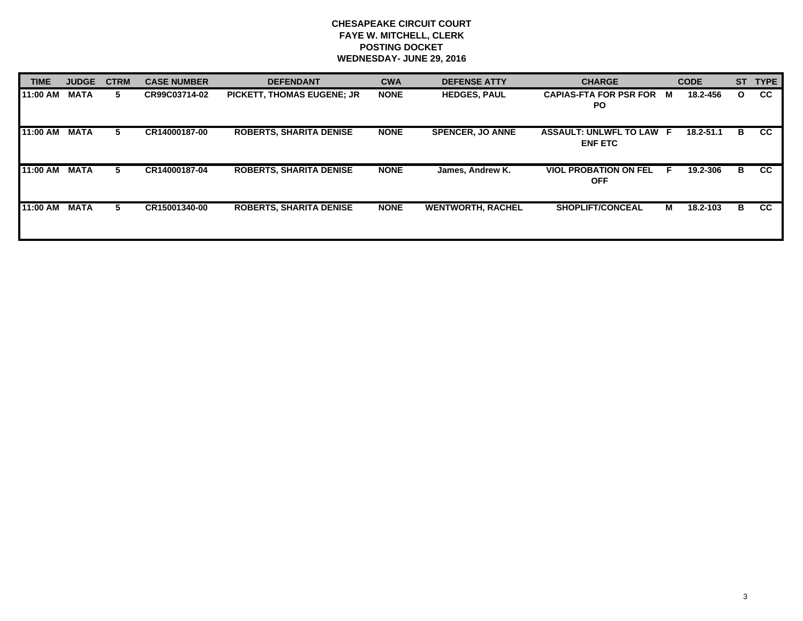# **CHESAPEAKE CIRCUIT COURT FAYE W. MITCHELL, CLERK POSTING DOCKET WEDNESDAY- JUNE 29, 2016**

| <b>TIME</b> | <b>JUDGE</b> | <b>CTRM</b> | <b>CASE NUMBER</b> | <b>DEFENDANT</b>                  | <b>CWA</b>  | <b>DEFENSE ATTY</b>      | <b>CHARGE</b>                                     | <b>CODE</b>   | <b>ST</b> | <b>TYPE</b> |
|-------------|--------------|-------------|--------------------|-----------------------------------|-------------|--------------------------|---------------------------------------------------|---------------|-----------|-------------|
| 11:00 AM    | <b>MATA</b>  | 5.          | CR99C03714-02      | <b>PICKETT, THOMAS EUGENE; JR</b> | <b>NONE</b> | <b>HEDGES, PAUL</b>      | <b>CAPIAS-FTA FOR PSR FOR</b><br><b>PO</b>        | 18.2-456<br>M | O         | <b>CC</b>   |
| 11:00 AM    | <b>MATA</b>  | 5.          | CR14000187-00      | <b>ROBERTS, SHARITA DENISE</b>    | <b>NONE</b> | <b>SPENCER, JO ANNE</b>  | <b>ASSAULT: UNLWFL TO LAW F</b><br><b>ENF ETC</b> | $18.2 - 51.1$ | В         | <b>CC</b>   |
| 11:00 AM    | <b>MATA</b>  | 5           | CR14000187-04      | <b>ROBERTS, SHARITA DENISE</b>    | <b>NONE</b> | James, Andrew K.         | <b>VIOL PROBATION ON FEL</b><br><b>OFF</b>        | 19.2-306<br>E | B         | <b>CC</b>   |
| 11:00 AM    | <b>MATA</b>  | 5.          | CR15001340-00      | <b>ROBERTS, SHARITA DENISE</b>    | <b>NONE</b> | <b>WENTWORTH, RACHEL</b> | <b>SHOPLIFT/CONCEAL</b>                           | М<br>18.2-103 | В         | <b>CC</b>   |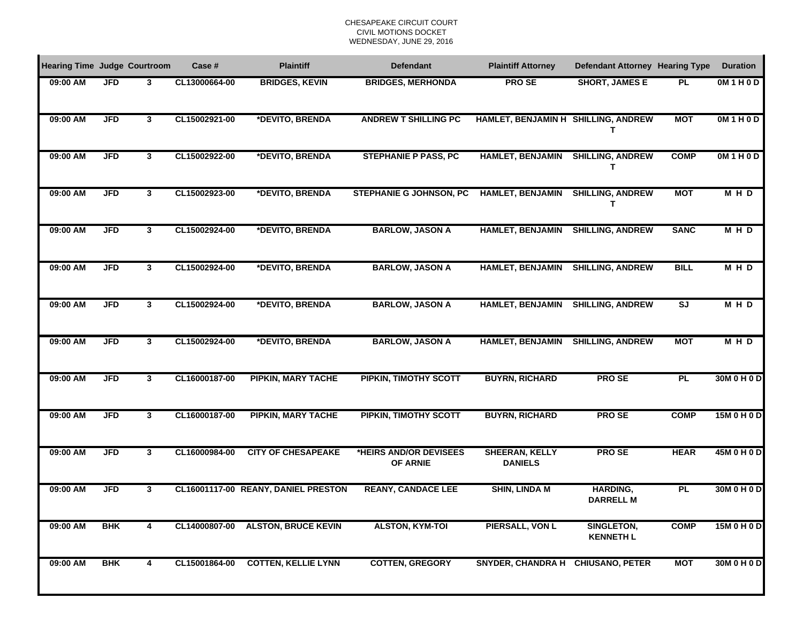### CHESAPEAKE CIRCUIT COURTCIVIL MOTIONS DOCKET WEDNESDAY, JUNE 29, 2016

| <b>Hearing Time Judge Courtroom</b> |            |              | Case #        | <b>Plaintiff</b>                    | <b>Defendant</b>                          | <b>Plaintiff Attorney</b>               | Defendant Attorney Hearing Type     |                          | <b>Duration</b> |
|-------------------------------------|------------|--------------|---------------|-------------------------------------|-------------------------------------------|-----------------------------------------|-------------------------------------|--------------------------|-----------------|
| 09:00 AM                            | <b>JFD</b> | 3            | CL13000664-00 | <b>BRIDGES, KEVIN</b>               | <b>BRIDGES, MERHONDA</b>                  | <b>PROSE</b>                            | <b>SHORT, JAMES E</b>               | <b>PL</b>                | OM1H0D          |
| 09:00 AM                            | <b>JFD</b> | 3            | CL15002921-00 | *DEVITO, BRENDA                     | <b>ANDREW T SHILLING PC</b>               | HAMLET, BENJAMIN H SHILLING, ANDREW     | Т                                   | <b>MOT</b>               | OM1H0D          |
| 09:00 AM                            | <b>JFD</b> | 3            | CL15002922-00 | *DEVITO, BRENDA                     | <b>STEPHANIE P PASS, PC</b>               | <b>HAMLET, BENJAMIN</b>                 | <b>SHILLING, ANDREW</b><br>Т        | <b>COMP</b>              | OM1HOD          |
| 09:00 AM                            | <b>JFD</b> | 3            | CL15002923-00 | *DEVITO, BRENDA                     | <b>STEPHANIE G JOHNSON, PC</b>            | HAMLET, BENJAMIN                        | <b>SHILLING, ANDREW</b><br>Т        | <b>MOT</b>               | <b>MHD</b>      |
| 09:00 AM                            | <b>JFD</b> | 3            | CL15002924-00 | *DEVITO, BRENDA                     | <b>BARLOW, JASON A</b>                    | <b>HAMLET, BENJAMIN</b>                 | <b>SHILLING, ANDREW</b>             | <b>SANC</b>              | <b>MHD</b>      |
| 09:00 AM                            | <b>JFD</b> | 3            | CL15002924-00 | *DEVITO, BRENDA                     | <b>BARLOW, JASON A</b>                    | <b>HAMLET, BENJAMIN</b>                 | <b>SHILLING, ANDREW</b>             | <b>BILL</b>              | <b>MHD</b>      |
| 09:00 AM                            | <b>JFD</b> | $\mathbf{3}$ | CL15002924-00 | *DEVITO, BRENDA                     | <b>BARLOW, JASON A</b>                    | <b>HAMLET, BENJAMIN</b>                 | <b>SHILLING, ANDREW</b>             | $\overline{\mathsf{sJ}}$ | <b>MHD</b>      |
| 09:00 AM                            | <b>JFD</b> | $\mathbf{3}$ | CL15002924-00 | *DEVITO, BRENDA                     | <b>BARLOW, JASON A</b>                    | <b>HAMLET, BENJAMIN</b>                 | <b>SHILLING, ANDREW</b>             | <b>MOT</b>               | <b>MHD</b>      |
| 09:00 AM                            | <b>JFD</b> | $\mathbf{3}$ | CL16000187-00 | <b>PIPKIN, MARY TACHE</b>           | <b>PIPKIN, TIMOTHY SCOTT</b>              | <b>BUYRN, RICHARD</b>                   | <b>PROSE</b>                        | <b>PL</b>                | 30M 0 H 0 D     |
| 09:00 AM                            | <b>JFD</b> | $\mathbf{3}$ | CL16000187-00 | <b>PIPKIN, MARY TACHE</b>           | <b>PIPKIN, TIMOTHY SCOTT</b>              | <b>BUYRN, RICHARD</b>                   | <b>PROSE</b>                        | <b>COMP</b>              | 15M 0 H 0 D     |
| 09:00 AM                            | <b>JFD</b> | $\mathbf{3}$ | CL16000984-00 | <b>CITY OF CHESAPEAKE</b>           | *HEIRS AND/OR DEVISEES<br><b>OF ARNIE</b> | <b>SHEERAN, KELLY</b><br><b>DANIELS</b> | <b>PROSE</b>                        | <b>HEAR</b>              | 45M 0 H 0 D     |
| 09:00 AM                            | <b>JFD</b> | 3            |               | CL16001117-00 REANY, DANIEL PRESTON | <b>REANY, CANDACE LEE</b>                 | <b>SHIN, LINDA M</b>                    | <b>HARDING,</b><br><b>DARRELL M</b> | <b>PL</b>                | 30M 0 H 0 D     |
| 09:00 AM                            | <b>BHK</b> | 4            |               | CL14000807-00 ALSTON, BRUCE KEVIN   | <b>ALSTON, KYM-TOI</b>                    | PIERSALL, VON L                         | SINGLETON,<br><b>KENNETH L</b>      | <b>COMP</b>              | 15M 0 H 0 D     |
| 09:00 AM                            | <b>BHK</b> | 4            |               | CL15001864-00 COTTEN, KELLIE LYNN   | <b>COTTEN, GREGORY</b>                    | SNYDER, CHANDRA H CHIUSANO, PETER       |                                     | <b>MOT</b>               | 30M 0 H 0 D     |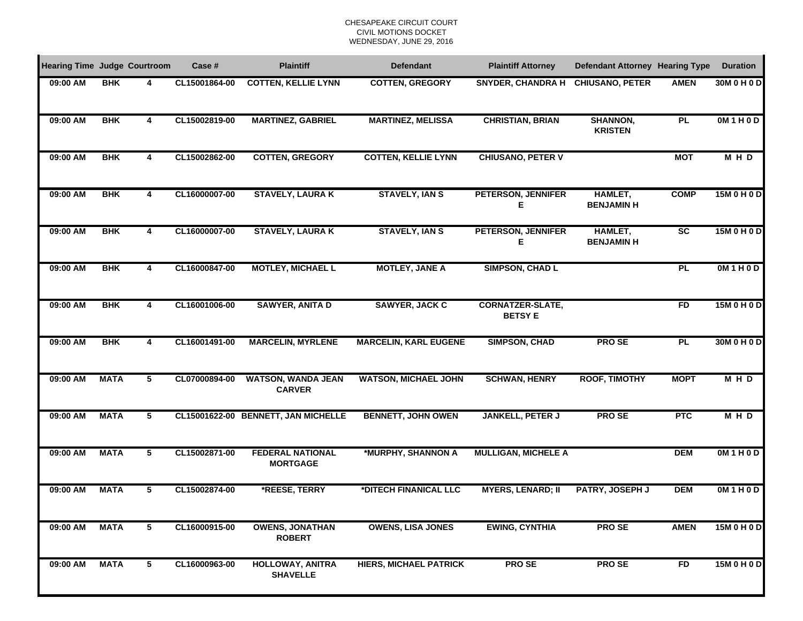### CHESAPEAKE CIRCUIT COURTCIVIL MOTIONS DOCKET WEDNESDAY, JUNE 29, 2016

| <b>Hearing Time Judge Courtroom</b> |             |   | Case #        | <b>Plaintiff</b>                           | <b>Defendant</b>              | <b>Plaintiff Attorney</b>                 | Defendant Attorney Hearing Type     |                        | <b>Duration</b> |
|-------------------------------------|-------------|---|---------------|--------------------------------------------|-------------------------------|-------------------------------------------|-------------------------------------|------------------------|-----------------|
| 09:00 AM                            | <b>BHK</b>  | 4 | CL15001864-00 | <b>COTTEN, KELLIE LYNN</b>                 | <b>COTTEN, GREGORY</b>        | <b>SNYDER, CHANDRA H</b>                  | <b>CHIUSANO, PETER</b>              | <b>AMEN</b>            | 30M 0 H 0 D     |
| 09:00 AM                            | <b>BHK</b>  | 4 | CL15002819-00 | <b>MARTINEZ, GABRIEL</b>                   | <b>MARTINEZ, MELISSA</b>      | <b>CHRISTIAN, BRIAN</b>                   | <b>SHANNON,</b><br><b>KRISTEN</b>   | PL                     | OM1H0D          |
| $09:00$ AM                          | <b>BHK</b>  | 4 | CL15002862-00 | <b>COTTEN, GREGORY</b>                     | <b>COTTEN, KELLIE LYNN</b>    | <b>CHIUSANO, PETER V</b>                  |                                     | <b>MOT</b>             | <b>MHD</b>      |
| 09:00 AM                            | <b>BHK</b>  | 4 | CL16000007-00 | <b>STAVELY, LAURAK</b>                     | <b>STAVELY, IAN S</b>         | <b>PETERSON, JENNIFER</b><br>Е            | <b>HAMLET,</b><br><b>BENJAMIN H</b> | <b>COMP</b>            | 15M 0 H 0 D     |
| 09:00 AM                            | <b>BHK</b>  | 4 | CL16000007-00 | <b>STAVELY, LAURA K</b>                    | <b>STAVELY, IAN S</b>         | <b>PETERSON, JENNIFER</b><br>Е            | <b>HAMLET,</b><br><b>BENJAMIN H</b> | $\overline{\text{sc}}$ | 15M 0 H 0 D     |
| 09:00 AM                            | <b>BHK</b>  | 4 | CL16000847-00 | <b>MOTLEY, MICHAEL L</b>                   | <b>MOTLEY, JANE A</b>         | <b>SIMPSON, CHAD L</b>                    |                                     | <b>PL</b>              | OM1HOD          |
| 09:00 AM                            | <b>BHK</b>  | 4 | CL16001006-00 | <b>SAWYER, ANITA D</b>                     | <b>SAWYER, JACK C</b>         | <b>CORNATZER-SLATE,</b><br><b>BETSY E</b> |                                     | <b>FD</b>              | 15M 0 H 0 D     |
| 09:00 AM                            | <b>BHK</b>  | 4 | CL16001491-00 | <b>MARCELIN, MYRLENE</b>                   | <b>MARCELIN, KARL EUGENE</b>  | <b>SIMPSON, CHAD</b>                      | <b>PROSE</b>                        | <b>PL</b>              | 30M 0 H 0 D     |
| 09:00 AM                            | <b>MATA</b> | 5 | CL07000894-00 | <b>WATSON, WANDA JEAN</b><br><b>CARVER</b> | <b>WATSON, MICHAEL JOHN</b>   | <b>SCHWAN, HENRY</b>                      | <b>ROOF, TIMOTHY</b>                | <b>MOPT</b>            | <b>MHD</b>      |
| 09:00 AM                            | <b>MATA</b> | 5 |               | CL15001622-00 BENNETT, JAN MICHELLE        | <b>BENNETT, JOHN OWEN</b>     | <b>JANKELL, PETER J</b>                   | <b>PROSE</b>                        | <b>PTC</b>             | <b>MHD</b>      |
| 09:00 AM                            | <b>MATA</b> | 5 | CL15002871-00 | <b>FEDERAL NATIONAL</b><br><b>MORTGAGE</b> | *MURPHY, SHANNON A            | <b>MULLIGAN, MICHELE A</b>                |                                     | <b>DEM</b>             | OM1H0D          |
| 09:00 AM                            | <b>MATA</b> | 5 | CL15002874-00 | *REESE, TERRY                              | *DITECH FINANICAL LLC         | <b>MYERS, LENARD; II</b>                  | PATRY, JOSEPH J                     | <b>DEM</b>             | OM1H0D          |
| 09:00 AM                            | <b>MATA</b> | 5 | CL16000915-00 | <b>OWENS, JONATHAN</b><br><b>ROBERT</b>    | <b>OWENS, LISA JONES</b>      | <b>EWING, CYNTHIA</b>                     | <b>PROSE</b>                        | <b>AMEN</b>            | 15M 0 H 0 D     |
| 09:00 AM                            | <b>MATA</b> | 5 | CL16000963-00 | <b>HOLLOWAY, ANITRA</b><br><b>SHAVELLE</b> | <b>HIERS, MICHAEL PATRICK</b> | <b>PROSE</b>                              | <b>PROSE</b>                        | <b>FD</b>              | 15M 0 H 0 D     |